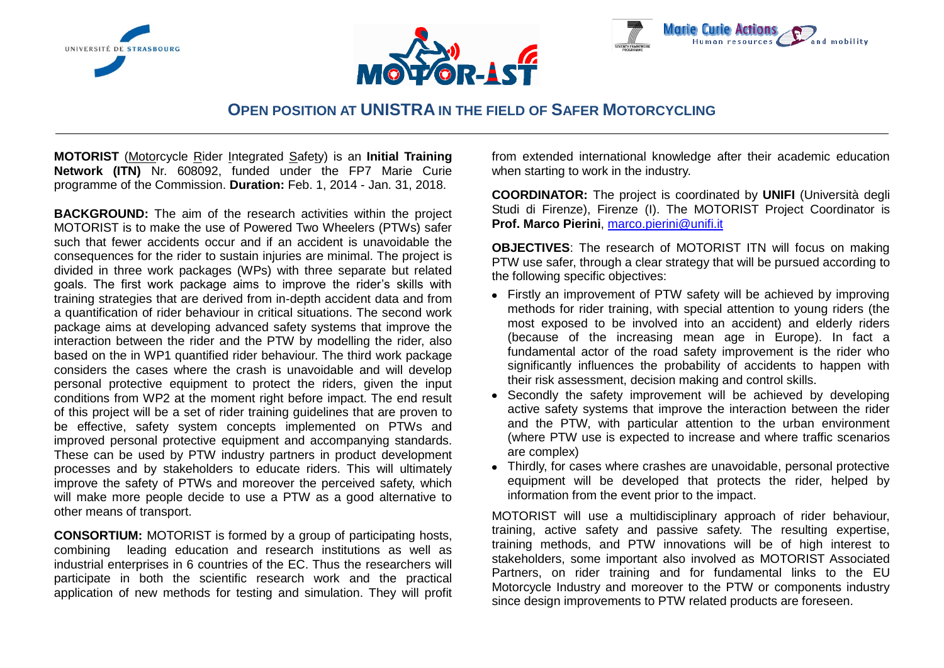





# **OPEN POSITION AT UNISTRA IN THE FIELD OF SAFER MOTORCYCLING**

**MOTORIST** (Motorcycle Rider Integrated Safety) is an **Initial Training Network (ITN)** Nr. 608092, funded under the FP7 Marie Curie programme of the Commission. **Duration:** Feb. 1, 2014 - Jan. 31, 2018.

**BACKGROUND:** The aim of the research activities within the project MOTORIST is to make the use of Powered Two Wheelers (PTWs) safer such that fewer accidents occur and if an accident is unavoidable the consequences for the rider to sustain injuries are minimal. The project is divided in three work packages (WPs) with three separate but related goals. The first work package aims to improve the rider's skills with training strategies that are derived from in-depth accident data and from a quantification of rider behaviour in critical situations. The second work package aims at developing advanced safety systems that improve the interaction between the rider and the PTW by modelling the rider, also based on the in WP1 quantified rider behaviour. The third work package considers the cases where the crash is unavoidable and will develop personal protective equipment to protect the riders, given the input conditions from WP2 at the moment right before impact. The end result of this project will be a set of rider training guidelines that are proven to be effective, safety system concepts implemented on PTWs and improved personal protective equipment and accompanying standards. These can be used by PTW industry partners in product development processes and by stakeholders to educate riders. This will ultimately improve the safety of PTWs and moreover the perceived safety, which will make more people decide to use a PTW as a good alternative to other means of transport.

**CONSORTIUM:** MOTORIST is formed by a group of participating hosts, combining leading education and research institutions as well as industrial enterprises in 6 countries of the EC. Thus the researchers will participate in both the scientific research work and the practical application of new methods for testing and simulation. They will profit from extended international knowledge after their academic education when starting to work in the industry.

**COORDINATOR:** The project is coordinated by **UNIFI** (Università degli Studi di Firenze), Firenze (I). The MOTORIST Project Coordinator is **Prof. Marco Pierini**, [marco.pierini@unifi.it](mailto:marco.pierini@unifi.it)

**OBJECTIVES**: The research of MOTORIST ITN will focus on making PTW use safer, through a clear strategy that will be pursued according to the following specific objectives:

- Firstly an improvement of PTW safety will be achieved by improving methods for rider training, with special attention to young riders (the most exposed to be involved into an accident) and elderly riders (because of the increasing mean age in Europe). In fact a fundamental actor of the road safety improvement is the rider who significantly influences the probability of accidents to happen with their risk assessment, decision making and control skills.
- Secondly the safety improvement will be achieved by developing active safety systems that improve the interaction between the rider and the PTW, with particular attention to the urban environment (where PTW use is expected to increase and where traffic scenarios are complex)
- Thirdly, for cases where crashes are unavoidable, personal protective equipment will be developed that protects the rider, helped by information from the event prior to the impact.

MOTORIST will use a multidisciplinary approach of rider behaviour, training, active safety and passive safety. The resulting expertise, training methods, and PTW innovations will be of high interest to stakeholders, some important also involved as MOTORIST Associated Partners, on rider training and for fundamental links to the EU Motorcycle Industry and moreover to the PTW or components industry since design improvements to PTW related products are foreseen.